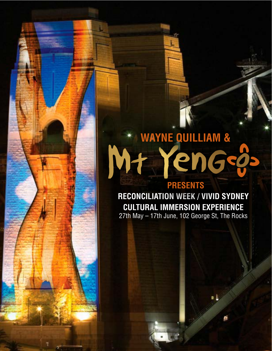## **WAYNE QUILLIAM &**  Mt YenGsø **PRESENTS**

**RECONCILIATION WEEK / VIVID SYDNEY CULTURAL IMMERSION EXPERIENCE** 27th May – 17th June, 102 George St, The Rocks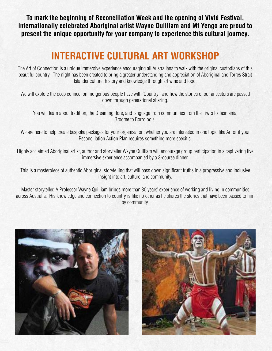**To mark the beginning of Reconciliation Week and the opening of Vivid Festival, internationally celebrated Aboriginal artist Wayne Quilliam and Mt Yengo are proud to present the unique opportunity for your company to experience this cultural journey.**

## **INTERACTIVE CULTURAL ART WORKSHOP**

The Art of Connection is a unique immersive experience encouraging all Australians to walk with the original custodians of this beautiful country. The night has been created to bring a greater understanding and appreciation of Aboriginal and Torres Strait Islander culture, history and knowledge through art wine and food.

We will explore the deep connection Indigenous people have with 'Country', and how the stories of our ancestors are passed down through generational sharing.

You will learn about tradition, the Dreaming, lore, and language from communities from the Tiwi's to Tasmania, Broome to Borroloola.

We are here to help create bespoke packages for your organisation; whether you are interested in one topic like Art or if your Reconciliation Action Plan requires something more specific.

Highly acclaimed Aboriginal artist, author and storyteller Wayne Quilliam will encourage group participation in a captivating live immersive experience accompanied by a 3-course dinner.

This is a masterpiece of authentic Aboriginal storytelling that will pass down significant truths in a progressive and inclusive insight into art, culture, and community.

Master storyteller, A.Professor Wayne Quilliam brings more than 30 years' experience of working and living in communities across Australia. His knowledge and connection to country is like no other as he shares the stories that have been passed to him by community.